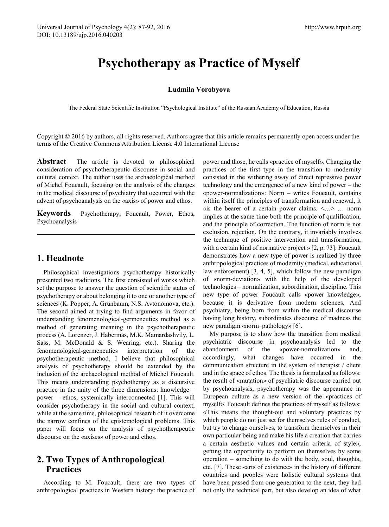# **Psychotherapy as Practice of Myself**

#### **Ludmila Vorobyova**

The Federal State Scientific Institution "Psychological Institute" of the Russian Academy of Education, Russia

Copyright © 2016 by authors, all rights reserved. Authors agree that this article remains permanently open access under the terms of the Creative Commons Attribution License 4.0 International License

**Abstract** The article is devoted to philosophical consideration of psychotherapeutic discourse in social and cultural context. The author uses the archaeological method of Michel Foucault, focusing on the analysis of the changes in the medical discourse of psychiatry that occurred with the advent of psychoanalysis on the «axis» of power and ethos.

**Keywords** Psychotherapy, Foucault, Power, Ethos, Psychoanalysis

#### **1. Headnote**

Philosophical investigations psychotherapy historically presented two traditions. The first consisted of works which set the purpose to answer the question of scientific status of psychotherapy or about belonging it to one or another type of sciences (K. Popper, A. Grünbaum, N.S. Avtonomova, etc.). The second aimed at trying to find arguments in favor of understanding fenomenological-germeneutics method as a method of generating meaning in the psychotherapeutic process (A. Lorenzer, J. Habermas, M.K. Mamardashvily, L. Sass, M. McDonald & S. Wearing, etc.). Sharing the fenomenological-germeneutics interpretation of the psychotherapeutic method, I believe that philosophical analysis of psychotherapy should be extended by the inclusion of the archaeological method of Michel Foucault. This means understanding psychotherapy as a discursive practice in the unity of the three dimensions: knowledge – power – ethos, systemically interconnected [1]. This will consider psychotherapy in the social and cultural context, while at the same time, philosophical research of it overcome the narrow confines of the epistemological problems. This paper will focus on the analysis of psychotherapeutic discourse on the «axises» of power and ethos.

## **2. Two Types of Anthropological Practices**

According to M. Foucault, there are two types of anthropological practices in Western history: the practice of

power and those, he calls «practice of myself». Changing the practices of the first type in the transition to modernity consisted in the withering away of direct repressive power technology and the emergence of a new kind of power – the «power-normalization»: Norm – writes Foucault, contains within itself the principles of transformation and renewal, it «is the bearer of a certain power claims.  $\leq ... \geq ...$  norm implies at the same time both the principle of qualification, and the principle of correction. The function of norm is not exclusion, rejection. On the contrary, it invariably involves the technique of positive intervention and transformation, with a certain kind of normative project » [2, p. 73]. Foucault demonstrates how a new type of power is realized by three anthropological practices of modernity (medical, educational, law enforcement) [3, 4, 5], which follow the new paradigm of «norm-deviation» with the help of the developed technologies – normalization, subordination, discipline. This new type of power Foucault calls «power–knowledge», because it is derivative from modern sciences. And psychiatry, being born from within the medical discourse having long history, subordinates discourse of madness the new paradigm «norm–pathology» [6].

My purpose is to show how the transition from medical psychiatric discourse in psychoanalysis led to the abandonment of the «power-normalization» and, accordingly, what changes have occurred in the communication structure in the system of therapist / client and in the space of ethos. The thesis is formulated as follows: the result of «mutation» of psychiatric discourse carried out by psychoanalysis, psychotherapy was the appearance in European culture as a new version of the «practices of myself». Foucault defines the practices of myself as follows: «This means the thought-out and voluntary practices by which people do not just set for themselves rules of conduct, but try to change ourselves, to transform themselves in their own particular being and make his life a creation that carries a certain aesthetic values and certain criteria of style», getting the opportunity to perform on themselves by some operation – something to do with the body, soul, thoughts, etc. [7]. These «arts of existence» in the history of different countries and peoples were holistic cultural systems that have been passed from one generation to the next, they had not only the technical part, but also develop an idea of what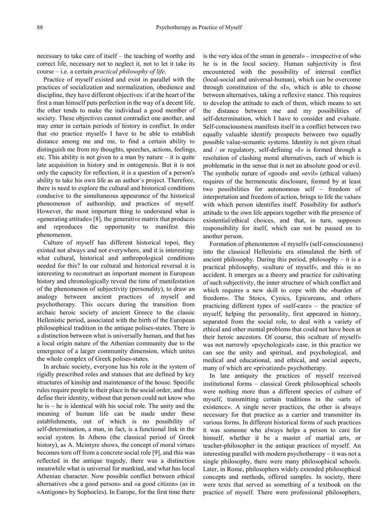necessary to take care of itself – the teaching of worthy and correct life, necessary not to neglect it, not to let it take its course – i.e. a certain *practical philosophy of life*.

Practice of myself existed and exist in parallel with the practices of socialization and normalization, obedience and discipline, they have different objectives: if at the heart of the first a man himself puts perfection in the way of a decent life, the other tends to make the individual a good member of society. These objectives cannot contradict one another, and may enter in certain periods of history in conflict. In order that «to practice myself» I have to be able to establish distance among me and me, to find a certain ability to distinguish me from my thoughts, speeches, actions, feelings, etc. This ability is not given to a man by nature – it is quite late acquisition in history and in ontogenesis. But it is not only the capacity for reflection, it is a question of a person's ability to take his own life as an author`s project. Therefore, there is need to explore the cultural and historical conditions conducive to the simultaneous appearance of the historical phenomenon of authorship, and practices of myself. However, the most important thing to understand what is «generating attitude» [8], the generative matrix that produces and reproduces the opportunity to manifest this phenomenon.

Culture of myself has different historical topoi, they existed not always and not everywhere, and it is interesting: what cultural, historical and anthropological conditions needed for this? In our cultural and historical reversal it is interesting to reconstruct an important moment in European history and chronologically reveal the time of manifestation of the phenomenon of subjectivity (personality), to draw an analogy between ancient practices of myself and psychotherapy. This occurs during the transition from archaic heroic society of ancient Greece to the classic Hellenistic period, associated with the birth of the European philosophical tradition in the antique polises-states. There is a distinction between what is universally human, and that has a local origin nature of the Athenian community due to the emergence of a larger community dimension, which unites the whole complex of Greek polises-states.

In archaic society, everyone has his role in the system of rigidly prescribed roles and statuses that are defined by key structures of kinship and maintenance of the house. Specific rules require people to their place in the social order, and thus define their identity, without that person could not know who he is – he is identical with his social role. The unity and the meaning of human life can be made under these establishments, out of which is no possibility of self-determination, a man, in fact, is a functional link in the social system. In Athens (the classical period of Greek history), as A. Mcintyre shows, the concept of moral virtues becomes torn off from a concrete social role [9], and this was reflected in the antique tragedy, there was a distinction meanwhile what is universal for mankind, and what has local Athenian character. Now possible conflict between ethical alternatives «be a good person» and «a good citizen» (as in «Antigone» by Sophocles). In Europe, for the first time there

is the very idea of the «man in general» – irrespective of who he is in the local society. Human subjectivity is first encountered with the possibility of internal conflict (local-social and universal-human), which can be overcome through constitution of the «I», which is able to choose between alternatives, taking a reflexive stance. This requires to develop the attitude to each of them, which means to set the distance between me and my possibilities of self-determination, which I have to consider and evaluate. Self-consciousness manifests itself in a conflict between two equally valuable identify prospects between two equally possible value-semantic systems. Identity is not given ritual and / or regulatory, self-defining «I» is formed through a resolution of clashing moral alternatives, each of which is problematic in the sense that is not an absolute good or evil. The symbolic nature of «good» and «evil» (ethical values) requires of the hermeneutic disclosure, formed by at least two possibilities for autonomous self – freedom of interpretation and freedom of action, brings to life the values with which person identifies itself. Possibility for author's attitude to the own life appears together with the presence of existential/ethical choices, and that, in turn, supposes responsibility for itself, which can not be passed on to another person.

Formation of phenomenon «I myself» (self-consciousness) into the classical Hellenistic era stimulated the birth of ancient philosophy. During this period, philosophy – it is a practical philosophy, «culture of myself», and this is no accident. It emerges as a theory and practice for cultivating of such subjectivity, the inner structure of which conflict and which requires a new skill to cope with the «burden of freedom». The Stoics, Cynics, Epicureans, and others practicing different types of «self-care» – the practice of myself, helping the personality, first appeared in history, separated from the social role, to deal with a variety of ethical and other mental problems that could not have been at their heroic ancestors. Of course, this «culture of myself» was not narrowly «psychological» case, in this practice we can see the unity and spiritual, and psychological, and medical and educational, and ethical, and social aspects, many of which are «privatized» psychotherapy.

In late antiquity the practices of myself received institutional forms – classical Greek philosophical schools were nothing more than a different species of culture of myself, transmitting certain traditions in the «arts of existence». A single never practices, the other is always necessary for that practice as a carrier and transmitter its various forms. In different historical forms of such practices it was someone who always helps a person to care for himself, whether it be a master of martial arts, or teacher-philosopher in the antique practices of myself. An interesting parallel with modern psychotherapy – it was not a single philosophy, there were many philosophical schools. Later, in Rome, philosophers widely extended philosophical concepts and methods, offered samples. In society, there were texts that served as something of a textbook on the practice of myself. There were professional philosophers,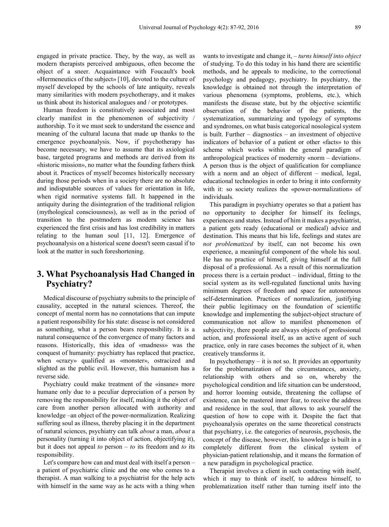engaged in private practice. They, by the way, as well as modern therapists perceived ambiguous, often become the object of a sneer. Acquaintance with Foucault's book «Hermeneutics of the subject» [10], devoted to the culture of myself developed by the schools of late antiquity, reveals many similarities with modern psychotherapy, and it makes us think about its historical analogues and / or prototypes.

Human freedom is constitutively associated and most clearly manifest in the phenomenon of subjectivity / authorship. To it we must seek to understand the essence and meaning of the cultural lacuna that made up thanks to the emergence psychoanalysis. Now, if psychotherapy has become necessary, we have to assume that its axiological base, targeted programs and methods are derived from its «historic mission», no matter what the founding fathers think about it. Practices of myself becomes historically necessary during those periods when in a society there are no absolute and indisputable sources of values for orientation in life, when rigid normative systems fall. It happened in the antiquity during the disintegration of the traditional religion (mythological consciousness), as well as in the period of transition to the postmodern as modern science has experienced the first crisis and has lost credibility in matters relating to the human soul [11, 12]. Emergence of psychoanalysis on a historical scene doesn't seem casual if to look at the matter in such foreshortening.

### **3. What Psychoanalysis Had Changed in Psychiatry?**

Medical discourse of psychiatry submits to the principle of causality, accepted in the natural sciences. Thereof, the concept of mental norm has no connotations that can impute a patient responsibility for his state: disease is not considered as something, what a person bears responsibility. It is a natural consequence of the convergence of many factors and reasons. Historically, this idea of «madness» was the conquest of humanity: psychiatry has replaced that practice, when «crazy» qualified as «monster», ostracized and slighted as the public evil. However, this humanism has a reverse side.

Psychiatry could make treatment of the «insane» more humane only due to a peculiar depreciation of a person by removing the responsibility for itself, making it the object of care from another person allocated with authority and knowledge –an object of the power-normalization. Realizing suffering soul as illness, thereby placing it in the department of natural sciences, psychiatry can talk *about* a man, *about* a personality (turning it into object of action, objectifying it), but it does not appeal *to* person – *to* its freedom and *to* its responsibility.

Let's compare how can and must deal with itself a person – a patient of psychiatric clinic and the one who comes to a therapist. A man walking to a psychiatrist for the help acts with himself in the same way as he acts with a thing when

wants to investigate and change it, – *turns himself into object*  of studying. To do this today in his hand there are scientific methods, and he appeals to medicine, to the correctional psychology and pedagogy, psychiatry. In psychiatry, the knowledge is obtained not through the interpretation of various phenomena (symptoms, problems, etc.), which manifests the disease state, but by the objective scientific observation of the behavior of the patients, the systematization, summarizing and typology of symptoms and syndromes, on what basis categorical nosological system is built. Further – diagnostics – an investment of objective indicators of behavior of a patient or other «facts» to this scheme which works within the general paradigm of anthropological practices of modernity «norm – deviation». A person thus is the object of qualification for compliance with a norm and an object of different – medical, legal, educational technologies in order to bring it into conformity with it: so society realizes the «power-normalization» of individuals.

This paradigm in psychiatry operates so that a patient has no opportunity to decipher for himself its feelings, experiences and states. Instead of him it makes a psychiatrist, a patient gets ready (educational or medical) advice and destination. This means that his life, feelings and states are *not problematized* by itself, can not become his own experience, a meaningful component of the whole his soul. He has no practice of himself, giving himself at the full disposal of a professional. As a result of this normalization process there is a certain product – individual, fitting to the social system as its well-regulated functional units having minimum degrees of freedom and space for autonomous self-determination. Practices of normalization, justifying their public legitimacy on the foundation of scientific knowledge and implementing the subject-object structure of communication not allow to manifest phenomenon of subjectivity, there people are always objects of professional action, and professional itself, as an active agent of such practice, only in rare cases becomes the subject of it, when creatively transforms it.

In psychotherapy  $-$  it is not so. It provides an opportunity for the problematization of the circumstances, anxiety, relationship with others and so on, whereby the psychological condition and life situation can be understood, and horror looming outside, threatening the collapse of existence, can be mastered inner fear, to receive the address and residence in the soul, that allows to ask yourself the question of how to cope with it. Despite the fact that psychoanalysis operates on the same theoretical constructs that psychiatry, i.e. the categories of neurosis, psychosis, the concept of the disease, however, this knowledge is built in a completely different from the clinical system of physician-patient relationship, and it means the formation of a new paradigm in psychological practice.

Therapist involves a client in such contacting with itself, which it may to think of itself, to address himself, to problematization itself rather than turning itself into the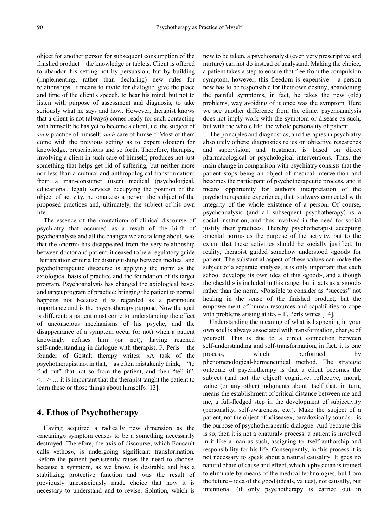object for another person for subsequent consumption of the finished product – the knowledge or tablets. Client is offered to abandon his setting not by persuasion, but by building (implementing, rather than declaring) new rules for relationships. It means to invite for dialogue, give the place and time of the client's speech, to hear his mind, but not to listen with purpose of assessment and diagnosis, to take seriously what he says and how. However, therapist knows that a client is not (always) comes ready for such contacting with himself: he has yet to become a client, i.e. the subject of *such* practice of himself, *such* care of himself. Most of them come with the previous setting as to expert (doctor) for knowledge, prescriptions and so forth. Therefore, therapist, involving a client in such care of himself, produces not just something that helps get rid of suffering, but neither more nor less than a cultural and anthropological transformation: from a man-consumer (user) medical (psychological, educational, legal) services occupying the position of the object of activity, he «makes» a person the subject of the proposed practices and, ultimately, the subject of his own life.

The essence of the «mutation» of clinical discourse of psychiatry that occurred as a result of the birth of psychoanalysis and all the changes we are talking about, was that the «norm» has disappeared from the very relationship between doctor and patient, it ceased to be a regulatory guide. Demarcation criteria for distinguishing between medical and psychotherapeutic discourse is applying the norm as the axiological basis of practice and the foundation of its target program. Psychoanalysis has changed the axiological bases and target program of practice: bringing the patient to normal happens not because it is regarded as a paramount importance and is the psychotherapy purpose. Now the goal is different: a patient must come to understanding the effect of unconscious mechanisms of his psyche, and the disappearance of a symptom occur (or not) when a patient knowingly refuses him (or not), having reached self-understanding in dialogue with therapist. F. Perls – the founder of Gestalt therapy writes: «A task of the psychotherapist not in that, – as often mistakenly think, – "to find out" that not so from the patient, and then "tell it". <…> … it is important that the therapist taught the patient to learn these or those things about himself» [13].

### **4. Ethos of Psychotherapy**

Having acquired a radically new dimension as the «meaning» symptom ceases to be a something necessarily destroyed. Therefore, the axis of discourse, which Foucault calls «ethos», is undergoing significant transformation. Before the patient persistently raises the need to choose, because a symptom, as we know, is desirable and has a stabilizing protective function and was the result of previously unconsciously made choice that now it is necessary to understand and to revise. Solution, which is

now to be taken, a psychoanalyst (even very prescriptive and nurture) can not do instead of analysand. Making the choice, a patient takes a step to ensure that free from the compulsion symptom, however, this freedom is expensive – a person now has to be responsible for their own destiny, abandoning the painful symptoms, in fact, he takes the new (old) problems, way avoiding of it once was the symptom. Here we see another difference from the clinic: psychoanalysis does not imply work with the symptom or disease as such, but with the whole life, the whole personality of patient.

The principles and diagnostics, and therapies in psychiatry absolutely others: diagnostics relies on objective researches and supervision, and treatment is based on direct pharmacological or psychological interventions. Thus, the main change in comparison with psychiatry consists that the patient stops being an object of medical intervention and becomes the participant of psychotherapeutic process, and it means opportunity for author's interpretation of the psychotherapeutic experience, that is always connected with integrity of the whole existence of a person. Of course, psychoanalysis (and all subsequent psychotherapy) is a social institution, and thus involved in the need for social justify their practices. Thereby psychotherapist accepting «mental norm» as the purpose of the activity, but to the extent that these activities should be socially justified. In reality, therapist guided somehow understood «good» for patient. The substantial aspect of these values can make the subject of a separate analysis, it is only important that each school develops its own idea of this «good», and although the «health» is included in this range, but it acts as a «good» rather than the norm. «Possible to consider as "success" not healing in the sense of the finished product, but the empowerment of human resources and capabilities to cope with problems arising at it»,  $-$  F. Perls writes [14].

Understanding the meaning of what is happening in your own soul is always associated with transformation, change of yourself. This is due to a direct connection between self-understanding and self-transformation, in fact, it is one process, which performed by phenomenological-hermeneutical method. The strategic outcome of psychotherapy is that a client becomes the subject (and not the object) cognitive, reflective, moral, value (or any other) judgments about itself that, in turn, means the establishment of critical distance between me and me, a full-fledged step in the development of subjectivity (personality, self-awareness, etc.). Make the subject of a patient, not the object of «disease», paradoxically sounds – is the purpose of psychotherapeutic dialogue. And because this is so, then it is not a «natural» process: a patient is involved in it like a man as such, assigning to itself authorship and responsibility for his life. Consequently, in this process it is not necessary to speak about a natural causality. It goes no natural chain of cause and effect, which a physician is trained to eliminate by means of the medical technologies, but from the future – idea of the good (ideals, values), not causally, but intentional (if only psychotherapy is carried out in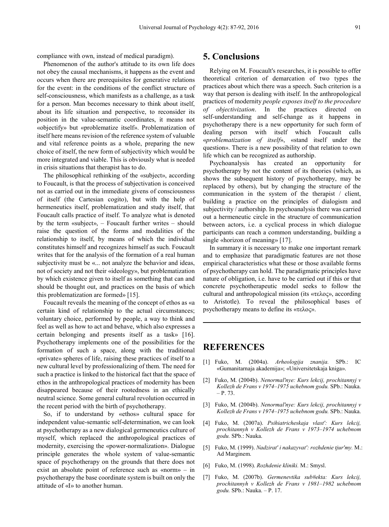compliance with own, instead of medical paradigm).

Phenomenon of the author's attitude to its own life does not obey the causal mechanisms, it happens as the event and occurs when there are prerequisites for generative relations for the event: in the conditions of the conflict structure of self-consciousness, which manifests as a challenge, as a task for a person. Man becomes necessary to think about itself, about its life situation and perspective, to reconsider its position in the value-semantic coordinates, it means not «objectify» but «problematize itself». Problematization of itself here means revision of the reference system of valuable and vital reference points as a whole, preparing the new choice of itself, the new form of subjectivity which would be more integrated and viable. This is obviously what is needed in crisis situations that therapist has to do.

The philosophical rethinking of the «subject», according to Foucault, is that the process of subjectivation is conceived not as carried out in the immediate givens of consciousness of itself (the Cartesian cogito), but with the help of hermeneutics itself, problematization and study itself, that Foucault calls practice of itself. To analyze what is denoted by the term «subject», – Foucault further writes – should raise the question of the forms and modalities of the relationship to itself, by means of which the individual constitutes himself and recognizes himself as such. Foucault writes that for the analysis of the formation of a real human subjectivity must be «... not analyze the behavior and ideas, not of society and not their «ideology», but problematization by which existence given to itself as something that can and should be thought out, and practices on the basis of which this problematization are formed» [15].

Foucault reveals the meaning of the concept of ethos as «a certain kind of relationship to the actual circumstances; voluntary choice, performed by people, a way to think and feel as well as how to act and behave, which also expresses a certain belonging and presents itself as a task» [16]. Psychotherapy implements one of the possibilities for the formation of such a space, along with the traditional «private» spheres of life, raising these practices of itself to a new cultural level by professionalizing of them. The need for such a practice is linked to the historical fact that the space of ethos in the anthropological practices of modernity has been disappeared because of their rootedness in an ethically neutral science. Some general cultural revolution occurred in the recent period with the birth of psychotherapy.

So, if to understand by «ethos» cultural space for independent value-semantic self-determination, we can look at psychotherapy as a new dialogical germeneutics culture of myself, which replaced the anthropological practices of modernity, exercising the «power-normalization». Dialogue principle generates the whole system of value-semantic space of psychotherapy on the grounds that there does not exist an absolute point of reference such as «norm» – in psychotherapy the base coordinate system is built on only the attitude of «I» to another human.

#### **5. Conclusions**

Relying on M. Foucault's researches, it is possible to offer theoretical criterion of demarcation of two types the practices about which there was a speech. Such criterion is a way that person is dealing with itself. In the anthropological practices of modernity *people exposes itself to the procedure of objectivization*. In the practices directed on self-understanding and self-change as it happens in psychotherapy there is a new opportunity for such form of dealing person with itself which Foucault calls «*problematization of itself*», «stand itself under the question». There is a new possibility of that relation to own life which can be recognized as authorship.

Psychoanalysis has created an opportunity for psychotherapy by not the content of its theories (which, as shows the subsequent history of psychotherapy, may be replaced by others), but by changing the structure of the communication in the system of the therapist / client, building a practice on the principles of dialogism and subjectivity / authorship. In psychoanalysis there was carried out a hermeneutic circle in the structure of communication between actors, i.e. a cyclical process in which dialogue participants can reach a common understanding, building a single «horizon of meaning» [17].

In summary it is necessary to make one important remark and to emphasize that paradigmatic features are not those empirical characteristics what these or those available forms of psychotherapy can hold. The paradigmatic principles have nature of obligation, i.e. have to be carried out if this or that concrete psychotherapeutic model seeks to follow the cultural and anthropological mission (its «τελος», according to Aristotle). To reveal the philosophical bases of psychotherapy means to define its «τελος».

#### **REFERENCES**

- [1] Fuko, M. (2004a). *Arheologija znanija.* SPb.: IC «Gumanitarnaja akademija»; «Universitetskaja kniga».
- [2] Fuko, M. (2004b). *Nenormal'nye: Kurs lekcij, prochitannyj v Kollezh de Frans v 1974–1975 uchebnom godu.* SPb.: Nauka.  $- P. 73.$
- [3] Fuko, M. (2004b). *Nenormal'nye: Kurs lekcij, prochitannyj v Kollezh de Frans v 1974–1975 uchebnom godu.* SPb.: Nauka.
- [4] Fuko, M. (2007a). *Psihiatricheskaja vlast': Kurs lekcij, prochitannyh v Kollezh de Frans v 1973–1974 uchebnom godu.* SPb.: Nauka.
- [5] Fuko, M. (1999). *Nadzirat' i nakazyvat': rozhdenie tjur'my.* M.: Ad Marginem.
- [6] Fuko, M. (1998). *Rozhdenie kliniki.* M.: Smysl.
- [7] Fuko, M. (2007b). *Germenevtika sub#ekta: Kurs lekcij, prochitannyh v Kollezh de Frans v 1981–1982 uchebnom godu.* SPb.: Nauka. – P. 17.